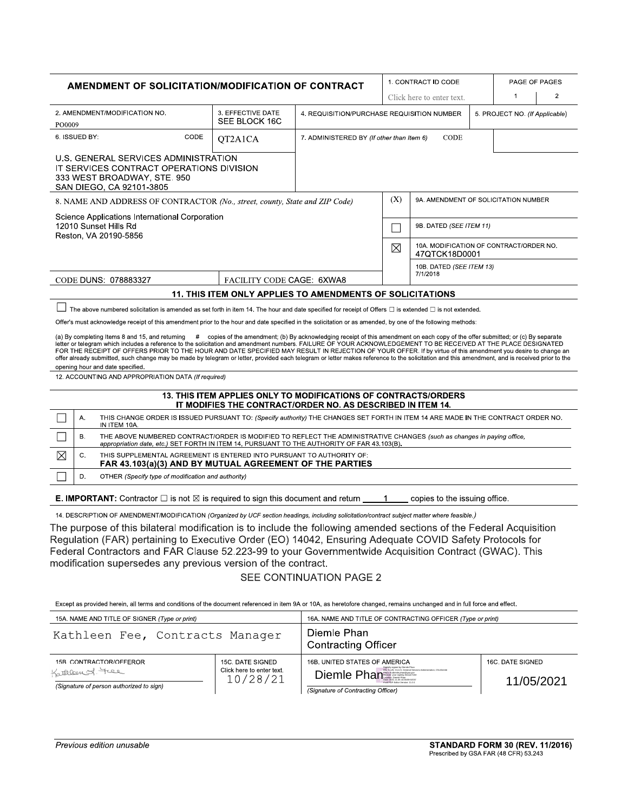| <b>AMENDMENT OF SOLICITATION/MODIFICATION OF CONTRACT</b>                                                                                                                                                                                                                                                                                                                                                                                                                                                                                                                                                                                                                                                                                                                                                                                                                                                                                                                                                                                                                                                                                                                                                                                                                                                                                                                                                                                                                                                                                                                                                                                                                                                                                                                                                                                  |    |                                                                                                                                                                                                                                                                                   |                                    |                           |                                                           |                                             | 1. CONTRACT ID CODE                                      |                                | PAGE OF PAGES |                |
|--------------------------------------------------------------------------------------------------------------------------------------------------------------------------------------------------------------------------------------------------------------------------------------------------------------------------------------------------------------------------------------------------------------------------------------------------------------------------------------------------------------------------------------------------------------------------------------------------------------------------------------------------------------------------------------------------------------------------------------------------------------------------------------------------------------------------------------------------------------------------------------------------------------------------------------------------------------------------------------------------------------------------------------------------------------------------------------------------------------------------------------------------------------------------------------------------------------------------------------------------------------------------------------------------------------------------------------------------------------------------------------------------------------------------------------------------------------------------------------------------------------------------------------------------------------------------------------------------------------------------------------------------------------------------------------------------------------------------------------------------------------------------------------------------------------------------------------------|----|-----------------------------------------------------------------------------------------------------------------------------------------------------------------------------------------------------------------------------------------------------------------------------------|------------------------------------|---------------------------|-----------------------------------------------------------|---------------------------------------------|----------------------------------------------------------|--------------------------------|---------------|----------------|
|                                                                                                                                                                                                                                                                                                                                                                                                                                                                                                                                                                                                                                                                                                                                                                                                                                                                                                                                                                                                                                                                                                                                                                                                                                                                                                                                                                                                                                                                                                                                                                                                                                                                                                                                                                                                                                            |    |                                                                                                                                                                                                                                                                                   |                                    |                           |                                                           |                                             | Click here to enter text.                                |                                | $\mathbf{1}$  | $\overline{2}$ |
| 2. AMENDMENT/MODIFICATION NO.<br>PO0009                                                                                                                                                                                                                                                                                                                                                                                                                                                                                                                                                                                                                                                                                                                                                                                                                                                                                                                                                                                                                                                                                                                                                                                                                                                                                                                                                                                                                                                                                                                                                                                                                                                                                                                                                                                                    |    |                                                                                                                                                                                                                                                                                   | 3. EFFECTIVE DATE<br>SEE BLOCK 16C |                           | 4. REQUISITION/PURCHASE REQUISITION NUMBER                |                                             |                                                          | 5. PROJECT NO. (If Applicable) |               |                |
| 6. ISSUED BY:<br>CODE<br>QT2A1CA                                                                                                                                                                                                                                                                                                                                                                                                                                                                                                                                                                                                                                                                                                                                                                                                                                                                                                                                                                                                                                                                                                                                                                                                                                                                                                                                                                                                                                                                                                                                                                                                                                                                                                                                                                                                           |    |                                                                                                                                                                                                                                                                                   |                                    |                           | <b>CODE</b><br>7. ADMINISTERED BY (If other than Item 6)  |                                             |                                                          |                                |               |                |
|                                                                                                                                                                                                                                                                                                                                                                                                                                                                                                                                                                                                                                                                                                                                                                                                                                                                                                                                                                                                                                                                                                                                                                                                                                                                                                                                                                                                                                                                                                                                                                                                                                                                                                                                                                                                                                            |    | U.S. GENERAL SERVICES ADMINISTRATION<br>IT SERVICES CONTRACT OPERATIONS DIVISION<br>333 WEST BROADWAY, STE, 950<br>SAN DIEGO, CA 92101-3805                                                                                                                                       |                                    |                           |                                                           |                                             |                                                          |                                |               |                |
|                                                                                                                                                                                                                                                                                                                                                                                                                                                                                                                                                                                                                                                                                                                                                                                                                                                                                                                                                                                                                                                                                                                                                                                                                                                                                                                                                                                                                                                                                                                                                                                                                                                                                                                                                                                                                                            |    | 8. NAME AND ADDRESS OF CONTRACTOR (No., street, county, State and ZIP Code)                                                                                                                                                                                                       |                                    |                           |                                                           | (X)<br>9A. AMENDMENT OF SOLICITATION NUMBER |                                                          |                                |               |                |
|                                                                                                                                                                                                                                                                                                                                                                                                                                                                                                                                                                                                                                                                                                                                                                                                                                                                                                                                                                                                                                                                                                                                                                                                                                                                                                                                                                                                                                                                                                                                                                                                                                                                                                                                                                                                                                            |    | Science Applications International Corporation<br>12010 Sunset Hills Rd<br>Reston, VA 20190-5856                                                                                                                                                                                  |                                    |                           |                                                           |                                             | 9B. DATED (SEE ITEM 11)                                  |                                |               |                |
|                                                                                                                                                                                                                                                                                                                                                                                                                                                                                                                                                                                                                                                                                                                                                                                                                                                                                                                                                                                                                                                                                                                                                                                                                                                                                                                                                                                                                                                                                                                                                                                                                                                                                                                                                                                                                                            |    |                                                                                                                                                                                                                                                                                   |                                    |                           |                                                           | $\boxtimes$                                 | 10A. MODIFICATION OF CONTRACT/ORDER NO.<br>47QTCK18D0001 |                                |               |                |
|                                                                                                                                                                                                                                                                                                                                                                                                                                                                                                                                                                                                                                                                                                                                                                                                                                                                                                                                                                                                                                                                                                                                                                                                                                                                                                                                                                                                                                                                                                                                                                                                                                                                                                                                                                                                                                            |    |                                                                                                                                                                                                                                                                                   |                                    |                           |                                                           |                                             | 10B. DATED (SEE ITEM 13)<br>7/1/2018                     |                                |               |                |
|                                                                                                                                                                                                                                                                                                                                                                                                                                                                                                                                                                                                                                                                                                                                                                                                                                                                                                                                                                                                                                                                                                                                                                                                                                                                                                                                                                                                                                                                                                                                                                                                                                                                                                                                                                                                                                            |    | CODE DUNS: 078883327                                                                                                                                                                                                                                                              |                                    | FACILITY CODE CAGE: 6XWA8 | 11. THIS ITEM ONLY APPLIES TO AMENDMENTS OF SOLICITATIONS |                                             |                                                          |                                |               |                |
| The above numbered solicitation is amended as set forth in item 14. The hour and date specified for receipt of Offers $\Box$ is extended $\Box$ is not extended.<br>Offer's must acknowledge receipt of this amendment prior to the hour and date specified in the solicitation or as amended, by one of the following methods:<br>(a) By completing Items 8 and 15, and returning # copies of the amendment; (b) By acknowledging receipt of this amendment on each copy of the offer submitted; or (c) By separate<br>letter or telegram which includes a reference to the solicitation and amendment numbers. FAILURE OF YOUR ACKNOWLEDGEMENT TO BE RECEIVED AT THE PLACE DESIGNATED<br>FOR THE RECEIPT OF OFFERS PRIOR TO THE HOUR AND DATE SPECIFIED MAY RESULT IN REJECTION OF YOUR OFFER. If by virtue of this amendment you desire to change an<br>offer already submitted, such change may be made by telegram or letter, provided each telegram or letter makes reference to the solicitation and this amendment, and is received prior to the<br>opening hour and date specified.<br>12. ACCOUNTING AND APPROPRIATION DATA (If required)<br>13. THIS ITEM APPLIES ONLY TO MODIFICATIONS OF CONTRACTS/ORDERS<br>IT MODIFIES THE CONTRACT/ORDER NO. AS DESCRIBED IN ITEM 14.<br>THIS CHANGE ORDER IS ISSUED PURSUANT TO: (Specify authority) THE CHANGES SET FORTH IN ITEM 14 ARE MADE IN THE CONTRACT ORDER NO.<br>Α.<br>IN ITEM 10A.<br><b>B.</b><br>THE ABOVE NUMBERED CONTRACT/ORDER IS MODIFIED TO REFLECT THE ADMINISTRATIVE CHANGES (such as changes in paying office,<br>appropriation date, etc.) SET FORTH IN ITEM 14, PURSUANT TO THE AUTHORITY OF FAR 43.103(B)<br>$\times$<br>THIS SUPPLEMENTAL AGREEMENT IS ENTERED INTO PURSUANT TO AUTHORITY OF:<br>C.<br>FAR 43.103(a)(3) AND BY MUTUAL AGREEMENT OF THE PARTIES |    |                                                                                                                                                                                                                                                                                   |                                    |                           |                                                           |                                             |                                                          |                                |               |                |
|                                                                                                                                                                                                                                                                                                                                                                                                                                                                                                                                                                                                                                                                                                                                                                                                                                                                                                                                                                                                                                                                                                                                                                                                                                                                                                                                                                                                                                                                                                                                                                                                                                                                                                                                                                                                                                            | D. | OTHER (Specify type of modification and authority)                                                                                                                                                                                                                                |                                    |                           |                                                           |                                             |                                                          |                                |               |                |
|                                                                                                                                                                                                                                                                                                                                                                                                                                                                                                                                                                                                                                                                                                                                                                                                                                                                                                                                                                                                                                                                                                                                                                                                                                                                                                                                                                                                                                                                                                                                                                                                                                                                                                                                                                                                                                            |    | <b>E. IMPORTANT:</b> Contractor $\square$ is not $\boxtimes$ is required to sign this document and return                                                                                                                                                                         |                                    |                           |                                                           | $\mathbf 1$                                 | copies to the issuing office.                            |                                |               |                |
|                                                                                                                                                                                                                                                                                                                                                                                                                                                                                                                                                                                                                                                                                                                                                                                                                                                                                                                                                                                                                                                                                                                                                                                                                                                                                                                                                                                                                                                                                                                                                                                                                                                                                                                                                                                                                                            |    | 14. DESCRIPTION OF AMENDMENT/MODIFICATION (Organized by UCF section headings, including solicitation/contract subject matter where feasible.)<br>The purpose of this bilateral modification is to include the following amended sections of the Federal Acquisition               |                                    |                           |                                                           |                                             |                                                          |                                |               |                |
|                                                                                                                                                                                                                                                                                                                                                                                                                                                                                                                                                                                                                                                                                                                                                                                                                                                                                                                                                                                                                                                                                                                                                                                                                                                                                                                                                                                                                                                                                                                                                                                                                                                                                                                                                                                                                                            |    | Regulation (FAR) pertaining to Executive Order (EO) 14042, Ensuring Adequate COVID Safety Protocols for<br>Federal Contractors and FAR Clause 52.223-99 to your Governmentwide Acquisition Contract (GWAC). This<br>modification supersedes any previous version of the contract. |                                    |                           |                                                           |                                             |                                                          |                                |               |                |
|                                                                                                                                                                                                                                                                                                                                                                                                                                                                                                                                                                                                                                                                                                                                                                                                                                                                                                                                                                                                                                                                                                                                                                                                                                                                                                                                                                                                                                                                                                                                                                                                                                                                                                                                                                                                                                            |    |                                                                                                                                                                                                                                                                                   |                                    |                           | <b>SEE CONTINUATION PAGE 2</b>                            |                                             |                                                          |                                |               |                |
|                                                                                                                                                                                                                                                                                                                                                                                                                                                                                                                                                                                                                                                                                                                                                                                                                                                                                                                                                                                                                                                                                                                                                                                                                                                                                                                                                                                                                                                                                                                                                                                                                                                                                                                                                                                                                                            |    | Except as provided herein, all terms and conditions of the document referenced in item 9A or 10A, as heretofore changed, remains unchanged and in full force and effect.                                                                                                          |                                    |                           |                                                           |                                             |                                                          |                                |               |                |

| 15A. NAME AND TITLE OF SIGNER (Type or print)                                           |                                                           | 16A. NAME AND TITLE OF CONTRACTING OFFICER (Type or print)                                                                                                                           |                                |  |  |  |
|-----------------------------------------------------------------------------------------|-----------------------------------------------------------|--------------------------------------------------------------------------------------------------------------------------------------------------------------------------------------|--------------------------------|--|--|--|
| Kathleen Fee, Contracts Manager                                                         |                                                           | Diemle Phan<br><b>Contracting Officer</b>                                                                                                                                            |                                |  |  |  |
| 15B. CONTRACTOR/OFFEROR<br>Kathleen S. Tree<br>(Signature of person authorized to sign) | 15C. DATE SIGNED<br>Click here to enter text.<br>10/28/21 | 16B. UNITED STATES OF AMERICA<br>Digitally signed by Diemie Phan<br>DN: CaUS, OuU.S. General Services Administration, CN=Diemie<br>Diemle Phan<br>(Signature of Contracting Officer) | 16C. DATE SIGNED<br>11/05/2021 |  |  |  |